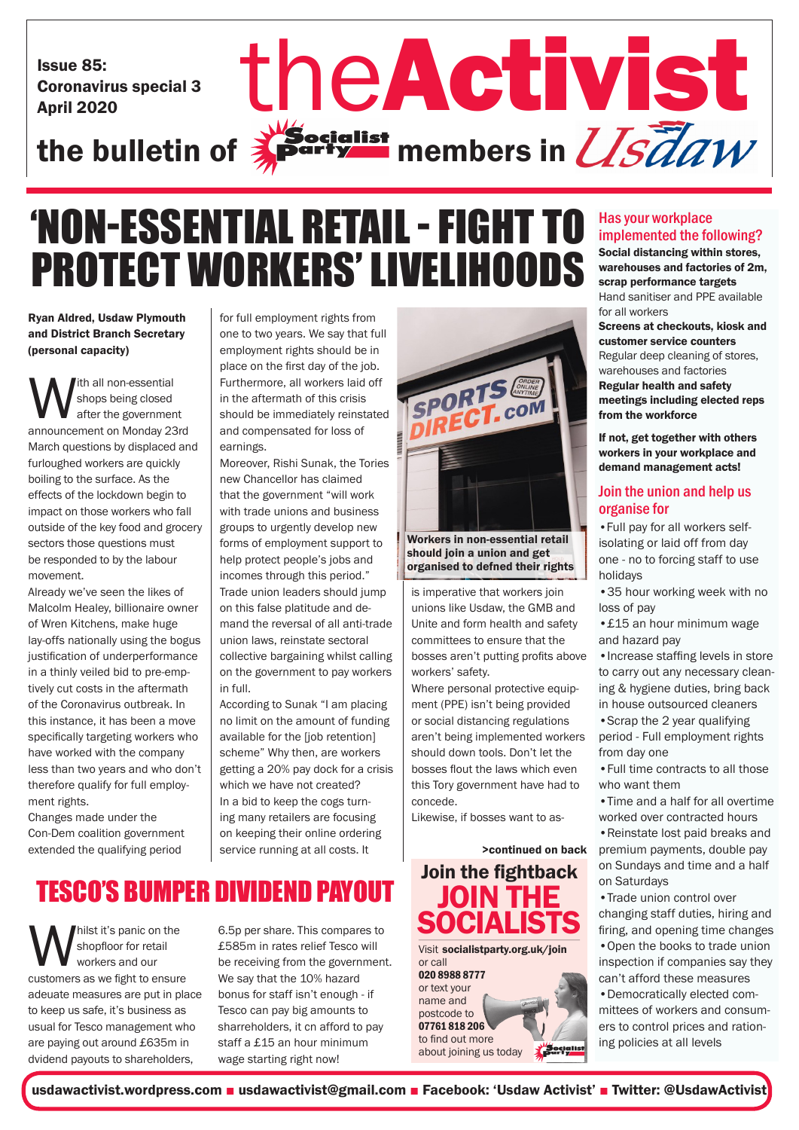Issue 85: Coronavirus special 3

# Issue 85: Coronavirus special 3 the Activist St the bulletin of  $\frac{1}{2}$  party members in  $\frac{1}{S}$   $\frac{7}{6}$  all  $W$

# 'NON-ESSENTIAL RETAIL - FIGHT TO PROTECT WORKERS' LIVELIHOODS

Ryan Aldred, Usdaw Plymouth and District Branch Secretary (personal capacity)

With all non-essential<br>
after the government<br>
announcement on Monday 23rd shops being closed after the government March questions by displaced and furloughed workers are quickly boiling to the surface. As the effects of the lockdown begin to impact on those workers who fall outside of the key food and grocery sectors those questions must be responded to by the labour movement.

Already we've seen the likes of Malcolm Healey, billionaire owner of Wren Kitchens, make huge lay-offs nationally using the bogus justification of underperformance in a thinly veiled bid to pre-emptively cut costs in the aftermath of the Coronavirus outbreak. In this instance, it has been a move specifically targeting workers who have worked with the company less than two years and who don't therefore qualify for full employment rights.

Changes made under the Con-Dem coalition government extended the qualifying period

for full employment rights from one to two years. We say that full employment rights should be in place on the first day of the job. Furthermore, all workers laid off in the aftermath of this crisis should be immediately reinstated and compensated for loss of earnings.

Moreover, Rishi Sunak, the Tories new Chancellor has claimed that the government "will work with trade unions and business groups to urgently develop new forms of employment support to help protect people's jobs and incomes through this period." Trade union leaders should jump on this false platitude and demand the reversal of all anti-trade union laws, reinstate sectoral collective bargaining whilst calling on the government to pay workers in full.

According to Sunak "I am placing no limit on the amount of funding available for the [job retention] scheme" Why then, are workers getting a 20% pay dock for a crisis which we have not created? In a bid to keep the cogs turning many retailers are focusing on keeping their online ordering service running at all costs. It

## TESCO'S BUMPER DIVIDEND PAYOUT

**W** shopfloor for retail<br>
customers as we fight to ensure shopfloor for retail workers and our adeuate measures are put in place to keep us safe, it's business as usual for Tesco management who are paying out around £635m in dvidend payouts to shareholders,

6.5p per share. This compares to £585m in rates relief Tesco will be receiving from the government. We say that the 10% hazard bonus for staff isn't enough - if Tesco can pay big amounts to sharreholders, it cn afford to pay staff a £15 an hour minimum wage starting right now!



Workers in non-essential retail should join a union and get organised to defned their rights

is imperative that workers join unions like Usdaw, the GMB and Unite and form health and safety committees to ensure that the bosses aren't putting profits above workers' safety.

Where personal protective equipment (PPE) isn't being provided or social distancing regulations aren't being implemented workers should down tools. Don't let the bosses flout the laws which even this Tory government have had to concede.

Likewise, if bosses want to as-

>continued on back

Join the fightback JOIN THE **SOCIALISTS** Visit socialistparty.org.uk/join or call 020 8988 8777 or text your name and postcode to 07761 818 206 to find out more Socialist about joining us today

## Has your workplace implemented the following?

Social distancing within stores, warehouses and factories of 2m, scrap performance targets Hand sanitiser and PPE available for all workers

Screens at checkouts, kiosk and customer service counters Regular deep cleaning of stores, warehouses and factories Regular health and safety meetings including elected reps from the workforce

If not, get together with others workers in your workplace and demand management acts!

## Join the union and help us organise for

•Full pay for all workers selfisolating or laid off from day one - no to forcing staff to use holidays

•35 hour working week with no loss of pay

•£15 an hour minimum wage and hazard pay

•Increase staffing levels in store to carry out any necessary cleaning & hygiene duties, bring back in house outsourced cleaners

•Scrap the 2 year qualifying period - Full employment rights from day one

•Full time contracts to all those who want them

•Time and a half for all overtime worked over contracted hours

•Reinstate lost paid breaks and premium payments, double pay on Sundays and time and a half on Saturdays

•Trade union control over changing staff duties, hiring and firing, and opening time changes •Open the books to trade union inspection if companies say they

can't afford these measures •Democratically elected committees of workers and consumers to control prices and rationing policies at all levels

usdawactivist.wordpress.com ■ usdawactivist@gmail.com ■ Facebook: 'Usdaw Activist' ■ Twitter: @UsdawActivist